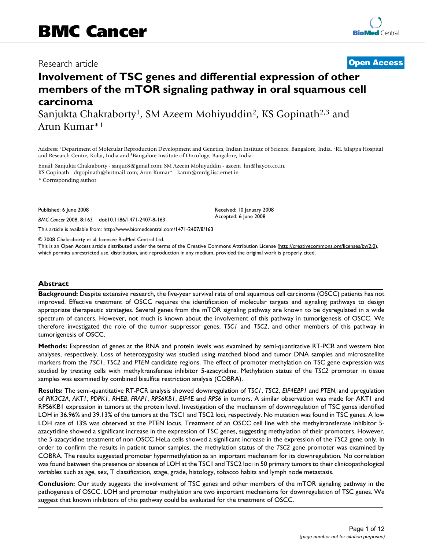# Research article **[Open Access](http://www.biomedcentral.com/info/about/charter/)**

# **Involvement of TSC genes and differential expression of other members of the mTOR signaling pathway in oral squamous cell carcinoma**

Sanjukta Chakraborty<sup>1</sup>, SM Azeem Mohiyuddin<sup>2</sup>, KS Gopinath<sup>2,3</sup> and Arun Kumar\*1

Address: 1Department of Molecular Reproduction Development and Genetics, Indian Institute of Science, Bangalore, India, 2RL Jalappa Hospital and Research Centre, Kolar, India and 3Bangalore Institute of Oncology, Bangalore, India

Email: Sanjukta Chakraborty - sanjuc8@gmail.com; SM Azeem Mohiyuddin - azeem\_hn@hayoo.co.in; KS Gopinath - drgopinath@hotmail.com; Arun Kumar\* - karun@mrdg.iisc.ernet.in

\* Corresponding author

Published: 6 June 2008

*BMC Cancer* 2008, **8**:163 doi:10.1186/1471-2407-8-163

[This article is available from: http://www.biomedcentral.com/1471-2407/8/163](http://www.biomedcentral.com/1471-2407/8/163)

© 2008 Chakraborty et al; licensee BioMed Central Ltd.

This is an Open Access article distributed under the terms of the Creative Commons Attribution License [\(http://creativecommons.org/licenses/by/2.0\)](http://creativecommons.org/licenses/by/2.0), which permits unrestricted use, distribution, and reproduction in any medium, provided the original work is properly cited.

Received: 10 January 2008 Accepted: 6 June 2008

# **Abstract**

**Background:** Despite extensive research, the five-year survival rate of oral squamous cell carcinoma (OSCC) patients has not improved. Effective treatment of OSCC requires the identification of molecular targets and signaling pathways to design appropriate therapeutic strategies. Several genes from the mTOR signaling pathway are known to be dysregulated in a wide spectrum of cancers. However, not much is known about the involvement of this pathway in tumorigenesis of OSCC. We therefore investigated the role of the tumor suppressor genes, *TSC1* and *TSC2*, and other members of this pathway in tumorigenesis of OSCC.

**Methods:** Expression of genes at the RNA and protein levels was examined by semi-quantitative RT-PCR and western blot analyses, respectively. Loss of heterozygosity was studied using matched blood and tumor DNA samples and microsatellite markers from the *TSC1*, *TSC2* and *PTEN* candidate regions. The effect of promoter methylation on TSC gene expression was studied by treating cells with methyltransferase inhibitor 5-azacytidine. Methylation status of the *TSC2* promoter in tissue samples was examined by combined bisulfite restriction analysis (COBRA).

**Results:** The semi-quantitative RT-PCR analysis showed downregulation of *TSC1*, *TSC2*, *EIF4EBP1* and *PTEN*, and upregulation of *PIK3C2A*, *AKT1*, *PDPK1*, *RHEB*, *FRAP1*, *RPS6KB1*, *EIF4E* and *RPS6* in tumors. A similar observation was made for AKT1 and RPS6KB1 expression in tumors at the protein level. Investigation of the mechanism of downregulation of TSC genes identified LOH in 36.96% and 39.13% of the tumors at the TSC1 and TSC2 loci, respectively. No mutation was found in TSC genes. A low LOH rate of 13% was observed at the PTEN locus. Treatment of an OSCC cell line with the methyltransferase inhibitor 5 azacytidine showed a significant increase in the expression of TSC genes, suggesting methylation of their promoters. However, the 5-azacytidine treatment of non-OSCC HeLa cells showed a significant increase in the expression of the *TSC2* gene only. In order to confirm the results in patient tumor samples, the methylation status of the *TSC2* gene promoter was examined by COBRA. The results suggested promoter hypermethylation as an important mechanism for its downregulation. No correlation was found between the presence or absence of LOH at the TSC1 and TSC2 loci in 50 primary tumors to their clinicopathological variables such as age, sex, T classification, stage, grade, histology, tobacco habits and lymph node metastasis.

**Conclusion:** Our study suggests the involvement of TSC genes and other members of the mTOR signaling pathway in the pathogenesis of OSCC. LOH and promoter methylation are two important mechanisms for downregulation of TSC genes. We suggest that known inhibitors of this pathway could be evaluated for the treatment of OSCC.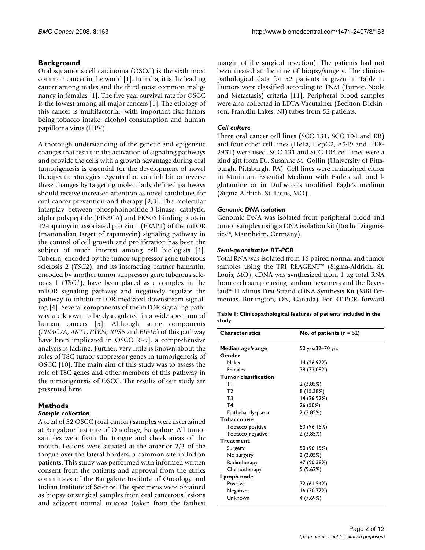# **Background**

Oral squamous cell carcinoma (OSCC) is the sixth most common cancer in the world [1]. In India, it is the leading cancer among males and the third most common malignancy in females [1]. The five-year survival rate for OSCC is the lowest among all major cancers [1]. The etiology of this cancer is multifactorial, with important risk factors being tobacco intake, alcohol consumption and human papilloma virus (HPV).

A thorough understanding of the genetic and epigenetic changes that result in the activation of signaling pathways and provide the cells with a growth advantage during oral tumorigenesis is essential for the development of novel therapeutic strategies. Agents that can inhibit or reverse these changes by targeting molecularly defined pathways should receive increased attention as novel candidates for oral cancer prevention and therapy [2,3]. The molecular interplay between phosphoinositide-3-kinase, catalytic, alpha polypeptide (PIK3CA) and FK506 binding protein 12-rapamycin associated protein 1 (FRAP1) of the mTOR (mammalian target of rapamycin) signaling pathway in the control of cell growth and proliferation has been the subject of much interest among cell biologists [4]. Tuberin, encoded by the tumor suppressor gene tuberous sclerosis 2 (*TSC2*), and its interacting partner hamartin, encoded by another tumor suppressor gene tuberous sclerosis 1 (*TSC1*), have been placed as a complex in the mTOR signaling pathway and negatively regulate the pathway to inhibit mTOR mediated downstream signaling [4]. Several components of the mTOR signaling pathway are known to be dysregulated in a wide spectrum of human cancers [5]. Although some components (*PIK3C2A*, *AKT1*, *PTEN, RPS6* and *EIF4E*) of this pathway have been implicated in OSCC [\[6-](#page-10-0)9], a comprehensive analysis is lacking. Further, very little is known about the roles of TSC tumor suppressor genes in tumorigenesis of OSCC [10]. The main aim of this study was to assess the role of TSC genes and other members of this pathway in the tumorigenesis of OSCC. The results of our study are presented here.

# **Methods**

# *Sample collection*

A total of 52 OSCC (oral cancer) samples were ascertained at Bangalore Institute of Oncology, Bangalore. All tumor samples were from the tongue and cheek areas of the mouth. Lesions were situated at the anterior 2/3 of the tongue over the lateral borders, a common site in Indian patients. This study was performed with informed written consent from the patients and approval from the ethics committees of the Bangalore Institute of Oncology and Indian Institute of Science. The specimens were obtained as biopsy or surgical samples from oral cancerous lesions and adjacent normal mucosa (taken from the farthest margin of the surgical resection). The patients had not been treated at the time of biopsy/surgery. The clinicopathological data for 52 patients is given in Table 1. Tumors were classified according to TNM (Tumor, Node and Metastasis) criteria [11]. Peripheral blood samples were also collected in EDTA-Vacutainer (Beckton-Dickinson, Franklin Lakes, NJ) tubes from 52 patients.

# *Cell culture*

Three oral cancer cell lines (SCC 131, SCC 104 and KB) and four other cell lines (HeLa, HepG2, A549 and HEK-293T) were used. SCC 131 and SCC 104 cell lines were a kind gift from Dr. Susanne M. Gollin (University of Pittsburgh, Pittsburgh, PA). Cell lines were maintained either in Minimum Essential Medium with Earle's salt and lglutamine or in Dulbecco's modified Eagle's medium (Sigma-Aldrich, St. Louis, MO).

# *Genomic DNA isolation*

Genomic DNA was isolated from peripheral blood and tumor samples using a DNA isolation kit (Roche Diagnostics™, Mannheim, Germany).

# *Semi-quantitative RT-PCR*

Total RNA was isolated from 16 paired normal and tumor samples using the TRI REAGENT™ (Sigma-Aldrich, St. Louis, MO). cDNA was synthesized from 1 μg total RNA from each sample using random hexamers and the Revertaid™ H Minus First Strand cDNA Synthesis Kit (MBI Fermentas, Burlington, ON, Canada). For RT-PCR, forward

|        | Table 1: Clinicopathological features of patients included in the |
|--------|-------------------------------------------------------------------|
| study. |                                                                   |

| <b>Characteristics</b>      | No. of patients $(n = 52)$ |
|-----------------------------|----------------------------|
| Median age/range            | 50 yrs/32–70 yrs           |
| Gender                      |                            |
| Males                       | 14 (26.92%)                |
| Females                     | 38 (73.08%)                |
| <b>Tumor classification</b> |                            |
| ΤI                          | 2(3.85%)                   |
| T <sub>2</sub>              | 8 (15.38%)                 |
| T3                          | 14 (26.92%)                |
| T <sub>4</sub>              | 26 (50%)                   |
| Epithelial dysplasia        | 2(3.85%)                   |
| Tobacco use                 |                            |
| Tobacco positive            | 50 (96.15%)                |
| Tobacco negative            | 2(3.85%)                   |
| <b>Treatment</b>            |                            |
| Surgery                     | 50 (96.15%)                |
| No surgery                  | 2(3.85%)                   |
| Radiotherapy                | 47 (90.38%)                |
| Chemotherapy                | 5(9.62%)                   |
| Lymph node                  |                            |
| Positive                    | 32 (61.54%)                |
| Negative                    | 16 (30.77%)                |
| Unknown                     | 4 (7.69%)                  |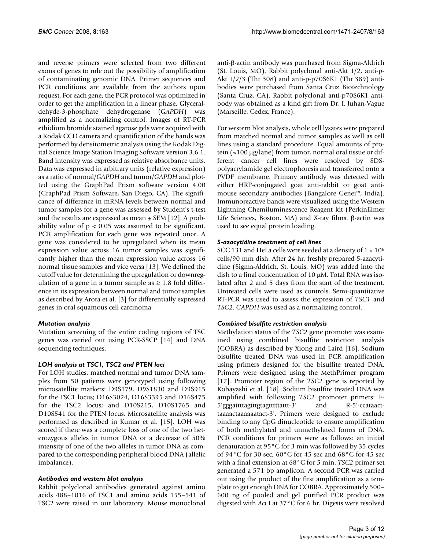and reverse primers were selected from two different exons of genes to rule out the possibility of amplification of contaminating genomic DNA. Primer sequences and PCR conditions are available from the authors upon request. For each gene, the PCR protocol was optimized in order to get the amplification in a linear phase. Glyceraldehyde-3-phosphate dehydrogenase (*GAPDH*) was amplified as a normalizing control. Images of RT-PCR ethidium bromide stained agarose gels were acquired with a Kodak CCD camera and quantification of the bands was performed by densitometric analysis using the Kodak Digital Science Image Station Imaging Software version 3.6.1. Band intensity was expressed as relative absorbance units. Data was expressed in arbitrary units (relative expression) as a ratio of normal/*GAPDH* and tumor/*GAPDH* and plotted using the GraphPad Prism software version 4.00 (GraphPad Prism Software, San Diego, CA). The significance of difference in mRNA levels between normal and tumor samples for a gene was assessed by Student's t-test and the results are expressed as mean  $\pm$  SEM [12]. A probability value of  $p < 0.05$  was assumed to be significant. PCR amplification for each gene was repeated once. A gene was considered to be upregulated when its mean expression value across 16 tumor samples was significantly higher than the mean expression value across 16 normal tissue samples and vice versa [13]. We defined the cutoff value for determining the upregulation or downregulation of a gene in a tumor sample as  $\geq 1.8$  fold difference in its expression between normal and tumor samples as described by Arora et al. [3] for differentially expressed genes in oral squamous cell carcinoma.

# *Mutation analysis*

Mutation screening of the entire coding regions of TSC genes was carried out using PCR-SSCP [14] and DNA sequencing techniques.

#### *LOH analysis at TSC1, TSC2 and PTEN loci*

For LOH studies, matched normal and tumor DNA samples from 50 patients were genotyped using following microsatellite markers: D9S179, D9S1830 and D9S915 for the TSC1 locus; D16S3024, D16S3395 and D16S475 for the TSC2 locus; and D10S215, D10S1765 and D10S541 for the PTEN locus. Microsatellite analysis was performed as described in Kumar et al. [15]. LOH was scored if there was a complete loss of one of the two heterozygous alleles in tumor DNA or a decrease of 50% intensity of one of the two alleles in tumor DNA as compared to the corresponding peripheral blood DNA (allelic imbalance).

#### *Antibodies and western blot analysis*

Rabbit polyclonal antibodies generated against amino acids 488–1016 of TSC1 and amino acids 155–541 of TSC2 were raised in our laboratory. Mouse monoclonal

anti-β-actin antibody was purchased from Sigma-Aldrich (St. Louis, MO). Rabbit polyclonal anti-Akt 1/2, anti-p-Akt 1/2/3 (Thr 308) and anti-p-p70S6K1 (Thr 389) antibodies were purchased from Santa Cruz Biotechnology (Santa Cruz, CA). Rabbit polyclonal anti-p70S6K1 antibody was obtained as a kind gift from Dr. I. Juhan-Vague (Marseille, Cedex, France).

For western blot analysis, whole cell lysates were prepared from matched normal and tumor samples as well as cell lines using a standard procedure. Equal amounts of protein (~100 μg/lane) from tumor, normal oral tissue or different cancer cell lines were resolved by SDSpolyacrylamide gel electrophoresis and transferred onto a PVDF membrane. Primary antibody was detected with either HRP-conjugated goat anti-rabbit or goat antimouse secondary antibodies (Bangalore Genei™, India). Immunoreactive bands were visualized using the Western Lightning Chemiluminescence Reagent kit (PerkinElmer Life Sciences, Boston, MA) and X-ray films. β-actin was used to see equal protein loading.

### *5-azacytidine treatment of cell lines*

SCC 131 and HeLa cells were seeded at a density of  $1 \times 10^6$ cells/90 mm dish. After 24 hr, freshly prepared 5-azacytidine (Sigma-Aldrich, St. Louis, MO) was added into the dish to a final concentration of 10 μM. Total RNA was isolated after 2 and 5 days from the start of the treatment. Untreated cells were used as controls. Semi-quantitative RT-PCR was used to assess the expression of *TSC1* and *TSC2*. *GAPDH* was used as a normalizing control.

#### *Combined bisulfite restriction analysis*

Methylation status of the *TSC2* gene promoter was examined using combined bisulfite restriction analysis (COBRA) as described by Xiong and Laird [16]. Sodium bisulfite treated DNA was used in PCR amplification using primers designed for the bisulfite treated DNA. Primers were designed using the MethPrimer program [17]. Promoter region of the *TSC2* gene is reported by Kobayashi et al. [18]. Sodium bisulfite treated DNA was amplified with following *TSC2* promoter primers: F-5'gggattttagtttgtagtttttattt-3' and R-5'-ccataacttaaaactaaaaaatact-3'. Primers were designed to exclude binding to any CpG dinucleotide to ensure amplification of both methylated and unmethylated forms of DNA. PCR conditions for primers were as follows: an initial denaturation at 95°C for 3 min was followed by 35 cycles of 94°C for 30 sec, 60°C for 45 sec and 68°C for 45 sec with a final extension at 68°C for 5 min. *TSC2* primer set generated a 571 bp amplicon. A second PCR was carried out using the product of the first amplification as a template to get enough DNA for COBRA. Approximately 500– 600 ng of pooled and gel purified PCR product was digested with *Aci* I at 37°C for 6 hr. Digests were resolved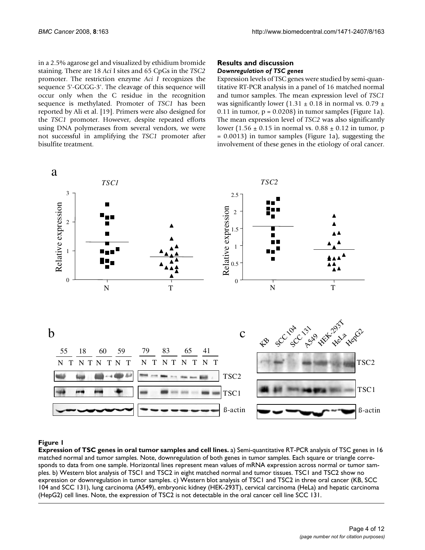in a 2.5% agarose gel and visualized by ethidium bromide staining. There are 18 *Aci* I sites and 65 CpGs in the *TSC2* promoter. The restriction enzyme *Aci I* recognizes the sequence 5'-GCGG-3'. The cleavage of this sequence will occur only when the C residue in the recognition sequence is methylated. Promoter of *TSC1* has been reported by Ali et al. [19]. Primers were also designed for the *TSC1* promoter. However, despite repeated efforts using DNA polymerases from several vendors, we were not successful in amplifying the *TSC1* promoter after bisulfite treatment.

#### **Results and discussion** *Downregulation of TSC genes*

Expression levels of TSC genes were studied by semi-quantitative RT-PCR analysis in a panel of 16 matched normal and tumor samples. The mean expression level of *TSC1* was significantly lower (1.31  $\pm$  0.18 in normal vs. 0.79  $\pm$ 0.11 in tumor,  $p = 0.0208$ ) in tumor samples (Figure 1a). The mean expression level of *TSC2* was also significantly lower (1.56  $\pm$  0.15 in normal vs. 0.88  $\pm$  0.12 in tumor, p = 0.0013) in tumor samples (Figure 1a), suggesting the involvement of these genes in the etiology of oral cancer.



#### Figure 1

**Expression of TSC genes in oral tumor samples and cell lines.** a) Semi-quantitative RT-PCR analysis of TSC genes in 16 matched normal and tumor samples. Note, downregulation of both genes in tumor samples. Each square or triangle corresponds to data from one sample. Horizontal lines represent mean values of mRNA expression across normal or tumor samples. b) Western blot analysis of TSC1 and TSC2 in eight matched normal and tumor tissues. TSC1 and TSC2 show no expression or downregulation in tumor samples. c) Western blot analysis of TSC1 and TSC2 in three oral cancer (KB, SCC 104 and SCC 131), lung carcinoma (A549), embryonic kidney (HEK-293T), cervical carcinoma (HeLa) and hepatic carcinoma (HepG2) cell lines. Note, the expression of TSC2 is not detectable in the oral cancer cell line SCC 131.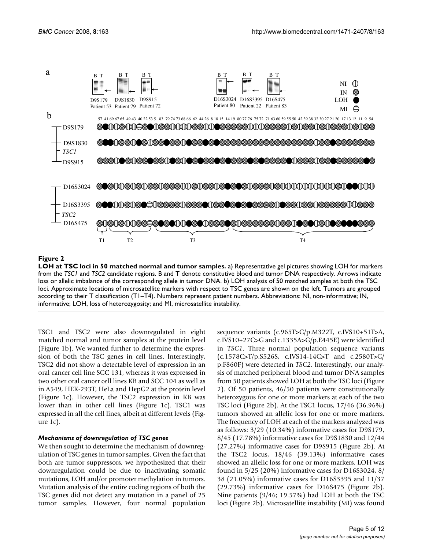

### **Figure 2**

**LOH at TSC loci in 50 matched normal and tumor samples.** a) Representative gel pictures showing LOH for markers from the *TSC1* and *TSC2* candidate regions. B and T denote constitutive blood and tumor DNA respectively. Arrows indicate loss or allelic imbalance of the corresponding allele in tumor DNA. b) LOH analysis of 50 matched samples at both the TSC loci. Approximate locations of microsatellite markers with respect to TSC genes are shown on the left. Tumors are grouped according to their T classification (T1–T4). Numbers represent patient numbers. Abbreviations: NI, non-informative; IN, informative; LOH, loss of heterozygosity; and MI, microsatellite instability.

TSC1 and TSC2 were also downregulated in eight matched normal and tumor samples at the protein level (Figure 1b). We wanted further to determine the expression of both the TSC genes in cell lines. Interestingly, TSC2 did not show a detectable level of expression in an oral cancer cell line SCC 131, whereas it was expressed in two other oral cancer cell lines KB and SCC 104 as well as in A549, HEK-293T, HeLa and HepG2 at the protein level (Figure 1c). However, the TSC2 expression in KB was lower than in other cell lines (Figure 1c). TSC1 was expressed in all the cell lines, albeit at different levels (Figure 1c).

#### *Mechanisms of downregulation of TSC genes*

We then sought to determine the mechanism of downregulation of TSC genes in tumor samples. Given the fact that both are tumor suppressors, we hypothesized that their downregulation could be due to inactivating somatic mutations, LOH and/or promoter methylation in tumors. Mutation analysis of the entire coding regions of both the TSC genes did not detect any mutation in a panel of 25 tumor samples. However, four normal population sequence variants (c.965T>C/p.M322T, c.IVS10+51T>A, c.IVS10+27C>G and c.1335A>G/p.E445E) were identified in *TSC1*. Three normal population sequence variants (c.1578C>T/p.S526S, c.IVS14-14C>T and c.2580T>C/ p.F860F) were detected in *TSC2*. Interestingly, our analysis of matched peripheral blood and tumor DNA samples from 50 patients showed LOH at both the TSC loci (Figure 2). Of 50 patients, 46/50 patients were constitutionally heterozygous for one or more markers at each of the two TSC loci (Figure 2b). At the TSC1 locus, 17/46 (36.96%) tumors showed an allelic loss for one or more markers. The frequency of LOH at each of the markers analyzed was as follows: 3/29 (10.34%) informative cases for D9S179, 8/45 (17.78%) informative cases for D9S1830 and 12/44 (27.27%) informative cases for D9S915 (Figure 2b). At the TSC2 locus, 18/46 (39.13%) informative cases showed an allelic loss for one or more markers. LOH was found in 5/25 (20%) informative cases for D16S3024, 8/ 38 (21.05%) informative cases for D16S3395 and 11/37 (29.73%) informative cases for D16S475 (Figure 2b). Nine patients (9/46; 19.57%) had LOH at both the TSC loci (Figure 2b). Microsatellite instability (MI) was found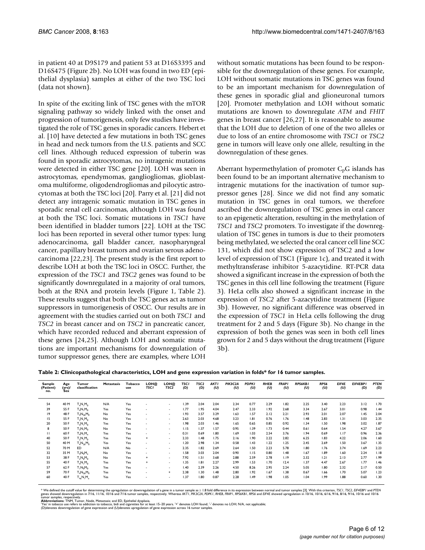in patient 40 at D9S179 and patient 53 at D16S3395 and D16S475 (Figure 2b). No LOH was found in two ED (epithelial dysplasia) samples at either of the two TSC loci (data not shown).

In spite of the exciting link of TSC genes with the mTOR signaling pathway so widely linked with the onset and progression of tumorigenesis, only few studies have investigated the role of TSC genes in sporadic cancers. Hebert et al. [10] have detected a few mutations in both TSC genes in head and neck tumors from the U.S. patients and SCC cell lines. Although reduced expression of tuberin was found in sporadic astrocytomas, no intragenic mutations were detected in either TSC gene [20]. LOH was seen in astrocytomas, ependymomas, gangliogliomas, glioblastoma multiforme, oligodendrogliomas and pilocytic astrocytomas at both the TSC loci [20]. Parry et al. [21] did not detect any intragenic somatic mutation in TSC genes in sporadic renal cell carcinomas, although LOH was found at both the TSC loci. Somatic mutations in *TSC1* have been identified in bladder tumors [\[22](#page-11-0)]. LOH at the TSC loci has been reported in several other tumor types: lung adenocarcinoma, gall bladder cancer, nasopharyngeal cancer, papillary breast tumors and ovarian serous adenocarcinoma [\[22](#page-11-0),23]. The present study is the first report to describe LOH at both the TSC loci in OSCC. Further, the expression of the *TSC1* and *TSC2* genes was found to be significantly downregulated in a majority of oral tumors, both at the RNA and protein levels (Figure 1, Table 2). These results suggest that both the TSC genes act as tumor suppressors in tumorigenesis of OSCC. Our results are in agreement with the studies carried out on both *TSC1* and *TSC2* in breast cancer and on *TSC2* in pancreatic cancer, which have recorded reduced and aberrant expression of these genes [24,25]. Although LOH and somatic mutations are important mechanisms for downregulation of tumor suppressor genes, there are examples, where LOH without somatic mutations has been found to be responsible for the downregulation of these genes. For example, LOH without somatic mutations in TSC genes was found to be an important mechanism for downregulation of these genes in sporadic glial and glioneuronal tumors [20]. Promoter methylation and LOH without somatic mutations are known to downregulate *ATM* and *FHIT* genes in breast cancer [26,[27\]](#page-11-1). It is reasonable to assume that the LOH due to deletion of one of the two alleles or due to loss of an entire chromosome with *TSC1* or *TSC2* gene in tumors will leave only one allele, resulting in the downregulation of these genes.

Aberrant hypermethylation of promoter  $C_pG$  islands has been found to be an important alternative mechanism to intragenic mutations for the inactivation of tumor suppressor genes [28]. Since we did not find any somatic mutation in TSC genes in oral tumors, we therefore ascribed the downregulation of TSC genes in oral cancer to an epigenetic alteration, resulting in the methylation of *TSC1* and *TSC2* promoters. To investigate if the downregulation of TSC genes in tumors is due to their promoters being methylated, we selected the oral cancer cell line SCC 131, which did not show expression of TSC2 and a low level of expression of TSC1 (Figure 1c), and treated it with methyltransferase inhibitor 5-azacytidine. RT-PCR data showed a significant increase in the expression of both the TSC genes in this cell line following the treatment (Figure 3). HeLa cells also showed a significant increase in the expression of *TSC2* after 5-azacytidine treatment (Figure 3b). However, no significant difference was observed in the expression of *TSC1* in HeLa cells following the drug treatment for 2 and 5 days (Figure 3b). No change in the expression of both the genes was seen in both cell lines grown for 2 and 5 days without the drug treatment (Figure 3b).

| Sample<br>(Patient)<br>no. | Age<br>(yrs)<br><b>Sex</b> | Tumor<br>classification | Metastasis | <b>Tobacco</b><br>use | LOH@<br><b>TSCI</b> | LOH@<br>TSC <sub>2</sub> | <b>TSCI</b><br>(D) | TSC <sub>2</sub><br>(D) | <b>AKTI</b><br>(U) | PIK3C2A<br>(U) | <b>PDPKI</b><br>(U) | <b>RHEB</b><br>(U) | <b>FRAPI</b><br>(U) | <b>RPS6KBI</b><br>(U) | RPS6<br>(U) | EIF4E<br>(U) | EIF4EBP1<br>(D) | <b>PTEN</b><br>(D) |
|----------------------------|----------------------------|-------------------------|------------|-----------------------|---------------------|--------------------------|--------------------|-------------------------|--------------------|----------------|---------------------|--------------------|---------------------|-----------------------|-------------|--------------|-----------------|--------------------|
| 54                         | 40 M                       | $T_4N_1M_0$             | N/A        | Yes                   | ٠                   | ٠                        | 1.39               | 2.04                    | 2.04               | 2.34           | 0.77                | 2.29               | 1.82                | 2.25                  | 3.40        | 2.23         | 3.12            | 1.70               |
| 39                         | 55 F                       | $T_4N_1M_0$             | Yes        | Yes                   | ۰.                  | ٠                        | 1.77               | 1.95                    | 4.04               | 2.47           | 2.33                | 1.92               | 2.68                | 3.34                  | 2.67        | 3.01         | 0.98            | 1.44               |
| 19                         | 48 F                       | $T_4N_{2h}M_0$          | No         | Yes                   | ۰.                  | ٠                        | 1.93               | 3.57                    | 3.29               | 1.63           | 1.57                | 2.12               | 2.21                | 2.93                  | 2.01        | 2.07         | 1.45            | 2.04               |
| 15                         | 55 F                       | $T_3N_1M_0$             | No         | Yes                   | ٠                   | ٠                        | 2.63               | 2.03                    | 4.68               | 3.23           | 1.81                | 0.76               | 1.76                | 1.48                  | 2.83        | 1.31         | 3.03            | 2.35               |
| 20                         | 50 F                       | $T_4N_1M_0$             | Yes        | Yes                   | ٠                   | ٠                        | 1.98               | 2.03                    | 1.46               | 1.65           | 0.65                | 0.85               | 0.92                | 1.34                  | 1.50        | 1.98         | 3.02            | 1.87               |
| 8                          | 50 F                       | $T_3N_1M_0$             | No         | Yes                   | ٠                   | ٠                        | 1.15               | 1.37                    | 1.57               | 0.95           | 1.39                | 1.73               | 0.44                | 0.61                  | 0.64        | 1.54         | 4.27            | 3.67               |
| $\mathbf{H}$               | 60 F                       | $T_4N_1M_x$             | Yes        | Yes                   | ×.                  | ٠                        | 0.31               | 0.69                    | 1.80               | 1.69           | 1.03                | 2.54               | 3.76                | 1.94                  | 0.69        | 1.17         | 0.96            | 2.36               |
| 40                         | 50 F                       | $T_2N_1M_0$             | Yes        | Yes                   | $+$                 |                          | 2.33               | 1.48                    | 1.75               | 2.16           | 1.90                | 2.22               | 2.82                | 6.25                  | 1.83        | 4.22         | 2.06            | 1.60               |
| 50                         | 40 M                       | $T_4N_{2h}M_0$          | Yes        | Yes                   | ×.                  | ٠                        | 1.20               | 2.98                    | 1.34               | 0.58           | 1.43                | 1.22               | 1.25                | 2.45                  | 2.69        | 1.50         | 3.67            | 1.35               |
| 52                         | 70 M                       | ED                      | N/A        | No                    | ٠                   | ٠                        | 2.35               | 1.82                    | 2.69               | 2.64           | 1.50                | 2.23               | 5.78                | 1.80                  | 1.76        | 3.74         | 1.69            | 2.23               |
| 32                         | 35 M                       | $T_4N_0M_{\rm x}$       | No         | Yes                   | ٠                   | ٠                        | 1.58               | 3.03                    | 2.04               | 0.90           | 1.15                | 0.80               | 1.48                | 1.67                  | 1.89        | 1.60         | 2.24            | 1.18               |
| 53                         | 38 F                       | $T_2N_0M_0$             | No         | Yes                   | $+$                 | ۰.                       | 7.92               | 1.51                    | 3.68               | 2.88           | 2.59                | 2.78               | 1.19                | 2.32                  | 1.21        | 2.13         | 2.77            | 1.99               |
| 55                         | 40 F                       | $T_4N_1M_0$             | Yes        | Yes                   | $\ddot{}$           | ٠                        | 1.35               | 1.81                    | 2.27               | 2.99           | 1.53                | 1.70               | 12.4                | 1.37                  | 4.47        | 2.67         | 1.77            | 1.46               |
| 57                         | 62 F                       | $T_1N_0M_0$             | Yes        | Yes                   | ۰.                  | ٠                        | 1.40               | 2.39                    | 2.26               | 4.50           | 8.26                | 2.95               | 2.24                | 5.05                  | 1.80        | 2.32         | 2.17            | 0.50               |
| 59                         | 70 F                       | $T_4N_{2h}M_0$          | Yes        | Yes                   | ٠                   | $+$                      | 2.38               | 1.30                    | 1.48               | 2.80           | 1.92                | 1.67               | 1.38                | 0.67                  | 1.66        | 1.70         | 5.07            | 1.23               |
| 60                         | 40 F                       | $T_{4a}N_1M_x$          | Yes        | Yes                   | ٠                   | ۰.                       | 1.37               | 1.80                    | 0.87               | 2.28           | 1.49                | 1.98               | 1.05                | 1.04                  | 1.99        | 1.88         | 0.60            | 1.30               |

\* We defined the curof value for determining the upregulation or downregulation of a gene in a tumor sample as ≥ 1.8 fold difference in its expression between normal and umor samples [3]. With this criterion, TSC1, EFCBP a

tumor samples, respectively.<br>**'Abbreviations**: TNM, Tumor, Node, Metastasis; and ED, Epithelial dysplasia.<br>'Yes' in tobacco use refers to addiction to tobacco, bidi and cigarettes for at least 15–20 years. '+' denotes LOH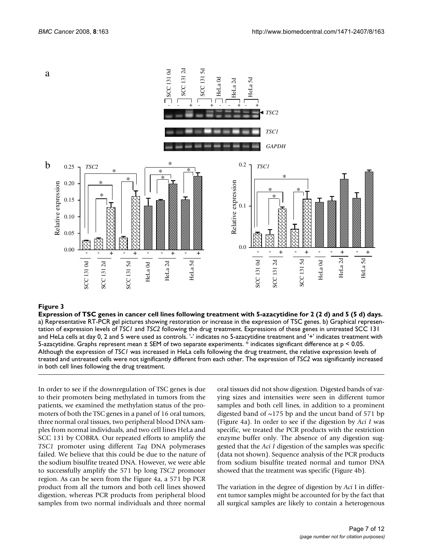

#### Expression of TSC genes in ca **Figure 3** ncer cell lines following treatment with 5-azacytidine for 2 (2 d) and 5 (5 d) days

**Expression of TSC genes in cancer cell lines following treatment with 5-azacytidine for 2 (2 d) and 5 (5 d) days.** a) Representative RT-PCR gel pictures showing restoration or increase in the expression of TSC genes. b) Graphical representation of expression levels of *TSC1* and *TSC2* following the drug treatment. Expressions of these genes in untreated SCC 131 and HeLa cells at day 0, 2 and 5 were used as controls. '-' indicates no 5-azacytidine treatment and '+' indicates treatment with 5-azacytidine. Graphs represent mean ± SEM of two separate experiments. \* indicates significant difference at p < 0.05. Although the expression of *TSC1* was increased in HeLa cells following the drug treatment, the relative expression levels of treated and untreated cells were not significantly different from each other. The expression of *TSC2* was significantly increased in both cell lines following the drug treatment.

In order to see if the downregulation of TSC genes is due to their promoters being methylated in tumors from the patients, we examined the methylation status of the promoters of both the TSC genes in a panel of 16 oral tumors, three normal oral tissues, two peripheral blood DNA samples from normal individuals, and two cell lines HeLa and SCC 131 by COBRA. Our repeated efforts to amplify the *TSC1* promoter using different *Taq* DNA polymerases failed. We believe that this could be due to the nature of the sodium bisulfite treated DNA. However, we were able to successfully amplify the 571 bp long *TSC2* promoter region. As can be seen from the Figure 4a, a 571 bp PCR product from all the tumors and both cell lines showed digestion, whereas PCR products from peripheral blood samples from two normal individuals and three normal

oral tissues did not show digestion. Digested bands of varying sizes and intensities were seen in different tumor samples and both cell lines, in addition to a prominent digested band of  $\sim$ 175 bp and the uncut band of 571 bp (Figure 4a). In order to see if the digestion by *Aci I* was specific, we treated the PCR products with the restriction enzyme buffer only. The absence of any digestion suggested that the *Aci I* digestion of the samples was specific (data not shown). Sequence analysis of the PCR products from sodium bisulfite treated normal and tumor DNA showed that the treatment was specific (Figure 4b).

The variation in the degree of digestion by *Aci* I in different tumor samples might be accounted for by the fact that all surgical samples are likely to contain a heterogenous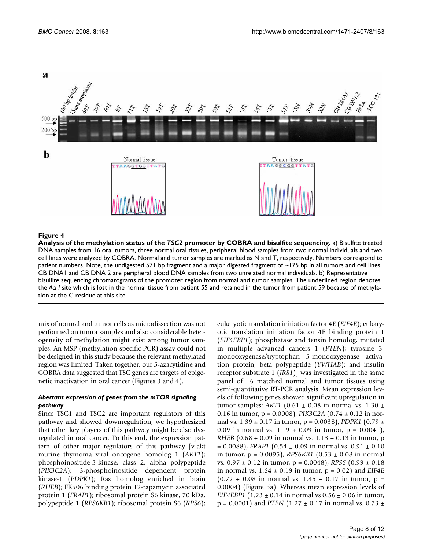

#### Analysis of the methylation status of the **Figure 4** *TSC2* promoter by COBRA and bisulfite sequencing

**Analysis of the methylation status of the** *TSC2* **promoter by COBRA and bisulfite sequencing.** a) Bisulfite treated DNA samples from 16 oral tumors, three normal oral tissues, peripheral blood samples from two normal individuals and two cell lines were analyzed by COBRA. Normal and tumor samples are marked as N and T, respectively. Numbers correspond to patient numbers. Note, the undigested 571 bp fragment and a major digested fragment of ~175 bp in all tumors and cell lines. CB DNA1 and CB DNA 2 are peripheral blood DNA samples from two unrelated normal individuals. b) Representative bisulfite sequencing chromatograms of the promoter region from normal and tumor samples. The underlined region denotes the Aci I site which is lost in the normal tissue from patient 55 and retained in the tumor from patient 59 because of methylation at the C residue at this site.

mix of normal and tumor cells as microdissection was not performed on tumor samples and also considerable heterogeneity of methylation might exist among tumor samples. An MSP (methylation-specific PCR) assay could not be designed in this study because the relevant methylated region was limited. Taken together, our 5-azacytidine and COBRA data suggested that TSC genes are targets of epigenetic inactivation in oral cancer (Figures 3 and 4).

### *Aberrant expression of genes from the mTOR signaling pathway*

Since TSC1 and TSC2 are important regulators of this pathway and showed downregulation, we hypothesized that other key players of this pathway might be also dysregulated in oral cancer. To this end, the expression pattern of other major regulators of this pathway [v-akt murine thymoma viral oncogene homolog 1 (*AKT1*); phosphoinositide-3-kinase, class 2, alpha polypeptide (*PIK3C2A*); 3-phosphoinositide dependent protein kinase-1 (*PDPK1*); Ras homolog enriched in brain (*RHEB*); FK506 binding protein 12-rapamycin associated protein 1 (*FRAP1*); ribosomal protein S6 kinase, 70 kDa, polypeptide 1 (*RPS6KB1*); ribosomal protein S6 (*RPS6*); eukaryotic translation initiation factor 4E (*EIF4E*); eukaryotic translation initiation factor 4E binding protein 1 (*EIF4EBP1*); phosphatase and tensin homolog, mutated in multiple advanced cancers 1 (*PTEN*); tyrosine 3 monooxygenase/tryptophan 5-monooxygenase activation protein, beta polypeptide (*YWHAB*); and insulin receptor substrate 1 (*IRS1*)] was investigated in the same panel of 16 matched normal and tumor tissues using semi-quantitative RT-PCR analysis. Mean expression levels of following genes showed significant upregulation in tumor samples:  $AKT1$  (0.61  $\pm$  0.08 in normal vs. 1.30  $\pm$ 0.16 in tumor, p = 0.0008), *PIK3C2A* (0.74 ± 0.12 in normal vs. 1.39 ± 0.17 in tumor, p = 0.0038), *PDPK1* (0.79 ± 0.09 in normal vs.  $1.19 \pm 0.09$  in tumor,  $p = 0.0041$ ), *RHEB*  $(0.68 \pm 0.09 \text{ in normal vs. } 1.13 \pm 0.13 \text{ in tumor, p})$  $= 0.0088$ ), *FRAP1*  $(0.54 \pm 0.09 \text{ in normal vs. } 0.91 \pm 0.10 \text{ m}^2)$ in tumor, p = 0.0095), *RPS6KB1* (0.53 ± 0.08 in normal vs. 0.97 ± 0.12 in tumor, p = 0.0048), *RPS6* (0.99 ± 0.18 in normal vs.  $1.64 \pm 0.19$  in tumor,  $p = 0.02$ ) and *EIF4E*  $(0.72 \pm 0.08$  in normal vs. 1.45  $\pm$  0.17 in tumor, p = 0.0004) (Figure 5a). Whereas mean expression levels of *EIF4EBP1*  $(1.23 \pm 0.14 \text{ in normal vs } 0.56 \pm 0.06 \text{ in tumor},$  $p = 0.0001$ ) and *PTEN* (1.27  $\pm$  0.17 in normal vs. 0.73  $\pm$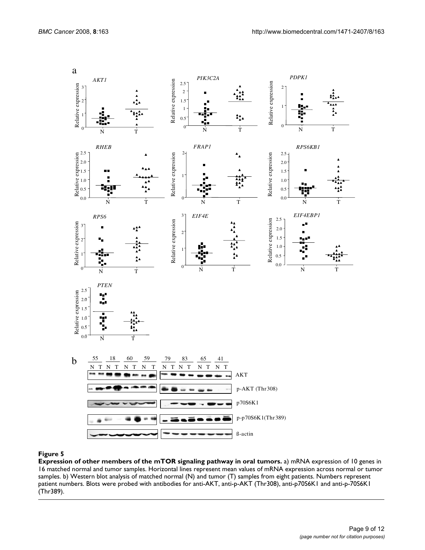

#### **Figure 5**

**Expression of other members of the mTOR signaling pathway in oral tumors.** a) mRNA expression of 10 genes in 16 matched normal and tumor samples. Horizontal lines represent mean values of mRNA expression across normal or tumor samples. b) Western blot analysis of matched normal (N) and tumor (T) samples from eight patients. Numbers represent patient numbers. Blots were probed with antibodies for anti-AKT, anti-p-AKT (Thr308), anti-p70S6K1 and anti-p-70S6K1 (Thr389).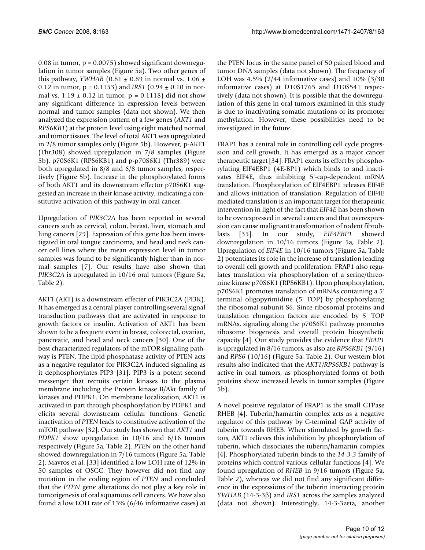0.08 in tumor,  $p = 0.0075$ ) showed significant downregulation in tumor samples (Figure 5a). Two other genes of this pathway, *YWHAB* (0.81  $\pm$  0.89 in normal vs. 1.06  $\pm$ 0.12 in tumor, p = 0.1153) and *IRS1* (0.94 ± 0.10 in normal vs.  $1.19 \pm 0.12$  in tumor,  $p = 0.1118$ ) did not show any significant difference in expression levels between normal and tumor samples (data not shown). We then analyzed the expression pattern of a few genes (*AKT1* and *RPS6KB1*) at the protein level using eight matched normal and tumor tissues. The level of total AKT1 was upregulated in 2/8 tumor samples only (Figure 5b). However, p-AKT1 (Thr308) showed upregulation in 7/8 samples (Figure 5b). p70S6K1 (RPS6KB1) and p-p70S6K1 (Thr389) were both upregulated in 8/8 and 6/8 tumor samples, respectively (Figure 5b). Increase in the phosphorylated forms of both AKT1 and its downstream effector p70S6K1 suggested an increase in their kinase activity, indicating a constitutive activation of this pathway in oral cancer.

Upregulation of *PIK3C2A* has been reported in several cancers such as cervical, colon, breast, liver, stomach and lung cancers [29]. Expression of this gene has been investigated in oral tongue carcinoma, and head and neck cancer cell lines where the mean expression level in tumor samples was found to be significantly higher than in normal samples [7]. Our results have also shown that *PIK3C2A* is upregulated in 10/16 oral tumors (Figure 5a, Table 2).

AKT1 (AKT) is a downstream effecter of PIK3C2A (PI3K). It has emerged as a central player controlling several signal transduction pathways that are activated in response to growth factors or insulin. Activation of AKT1 has been shown to be a frequent event in breast, colorectal, ovarian, pancreatic, and head and neck cancers [30]. One of the best characterized regulators of the mTOR signaling pathway is PTEN. The lipid phosphatase activity of PTEN acts as a negative regulator for PIK3C2A induced signaling as it dephosphorylates PIP3 [31]. PIP3 is a potent second messenger that recruits certain kinases to the plasma membrane including the Protein kinase B/Akt family of kinases and PDPK1. On membrane localization, AKT1 is activated in part through phosphorylation by PDPK1 and elicits several downstream cellular functions. Genetic inactivation of *PTEN* leads to constitutive activation of the mTOR pathway [32]. Our study has shown that *AKT1* and *PDPK1* show upregulation in 10/16 and 6/16 tumors respectively (Figure 5a, Table 2). *PTEN* on the other hand showed downregulation in 7/16 tumors (Figure 5a, Table 2). Mavros et al. [33] identified a low LOH rate of 12% in 50 samples of OSCC. They however did not find any mutation in the coding region of *PTEN* and concluded that the *PTEN* gene alterations do not play a key role in tumorigenesis of oral squamous cell cancers. We have also found a low LOH rate of 13% (6/46 informative cases) at

the PTEN locus in the same panel of 50 paired blood and tumor DNA samples (data not shown). The frequency of LOH was 4.5% (2/44 informative cases) and 10% (3/30 informative cases) at D10S1765 and D10S541 respectively (data not shown). It is possible that the downregulation of this gene in oral tumors examined in this study is due to inactivating somatic mutations or its promoter methylation. However, these possibilities need to be investigated in the future.

FRAP1 has a central role in controlling cell cycle progression and cell growth. It has emerged as a major cancer therapeutic target [34]. FRAP1 exerts its effect by phosphorylating EIF4EBP1 (4E-BP1) which binds to and inactivates EIF4E, thus inhibiting 5'-cap-dependent mRNA translation. Phosphorylation of EIF4EBP1 releases EIF4E and allows initiation of translation. Regulation of EIF4E mediated translation is an important target for therapeutic intervention in light of the fact that *EIF4E* has been shown to be overexpressed in several cancers and that overexpression can cause malignant transformation of rodent fibroblasts [35]. In our study, *EIF4EBP1* showed downregulation in 10/16 tumors (Figure 5a, Table 2). Upregulation of *EIF4E* in 10/16 tumors (Figure 5a, Table 2) potentiates its role in the increase of translation leading to overall cell growth and proliferation. FRAP1 also regulates translation via phosphorylation of a serine/threonine kinase p70S6K1 (RPS6KB1). Upon phosphorylation, p70S6K1 promotes translation of mRNAs containing a 5' terminal oligopyrimidine (5' TOP) by phosphorylating the ribosomal subunit S6. Since ribosomal proteins and translation elongation factors are encoded by 5' TOP mRNAs, signaling along the p70S6K1 pathway promotes ribosome biogenesis and overall protein biosynthetic capacity [4]. Our study provides the evidence that *FRAP1* is upregulated in 8/16 tumors, as also are *RPS6KB1* (9/16) and *RPS6* (10/16) (Figure 5a, Table 2). Our western blot results also indicated that the *AKT1/RPS6KB1* pathway is active in oral tumors, as phosphorylated forms of both proteins show increased levels in tumor samples (Figure 5b).

A novel positive regulator of FRAP1 is the small GTPase RHEB [4]. Tuberin/hamartin complex acts as a negative regulator of this pathway by C-terminal GAP activity of tuberin towards RHEB. When stimulated by growth factors, AKT1 relieves this inhibition by phosphorylation of tuberin, which dissociates the tuberin/hamartin complex [4]. Phosphorylated tuberin binds to the *14-3-3* family of proteins which control various cellular functions [4]. We found upregulation of *RHEB* in 9/16 tumors (Figure 5a, Table 2), whereas we did not find any significant difference in the expressions of the tuberin interacting protein *YWHAB* (14-3-3β) and *IRS1* across the samples analyzed (data not shown). Interestingly, 14-3-3zeta, another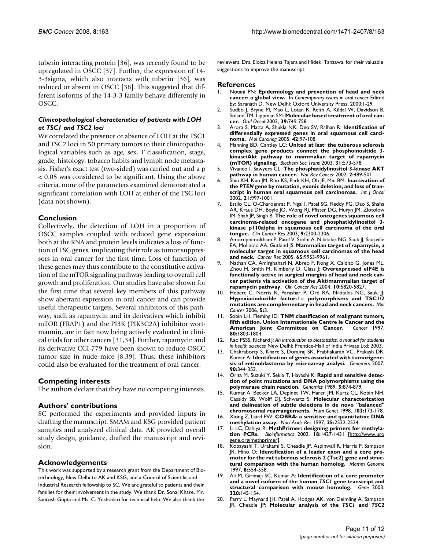tuberin interacting protein [36], was recently found to be upregulated in OSCC [37]. Further, the expression of 14- 3-3sigma, which also interacts with tuberin [36], was reduced or absent in OSCC [38]. This suggested that different isoforms of the 14-3-3 family behave differently in OSCC.

### *Clinicopathological characteristics of patients with LOH at TSC1 and TSC2 loci*

We correlated the presence or absence of LOH at the TSC1 and TSC2 loci in 50 primary tumors to their clinicopathological variables such as age, sex, T classification, stage, grade, histology, tobacco habits and lymph node metastasis. Fisher's exact test (two-sided) was carried out and a p < 0.05 was considered to be significant. Using the above criteria, none of the parameters examined demonstrated a significant correlation with LOH at either of the TSC loci (data not shown).

### **Conclusion**

Collectively, the detection of LOH in a proportion of OSCC samples coupled with reduced gene expression both at the RNA and protein levels indicates a loss of function of TSC genes, implicating their role as tumor suppressors in oral cancer for the first time. Loss of function of these genes may thus contribute to the constitutive activation of the mTOR signaling pathway leading to overall cell growth and proliferation. Our studies have also shown for the first time that several key members of this pathway show aberrant expression in oral cancer and can provide useful therapeutic targets. Several inhibitors of this pathway, such as rapamycin and its derivatives which inhibit mTOR (FRAP1) and the PI3K (PIK3C2A) inhibitor wortmannin, are in fact now being actively evaluated in clinical trials for other cancers [31,34]. Further, rapamycin and its derivative CCI-779 have been shown to reduce OSCC tumor size in nude mice [8,39]. Thus, these inhibitors could also be evaluated for the treatment of oral cancer.

#### **Competing interests**

The authors declare that they have no competing interests.

# **Authors' contributions**

SC performed the experiments and provided inputs in drafting the manuscript. SMAM and KSG provided patient samples and analyzed clinical data. AK provided overall study design, guidance, drafted the manuscript and revision.

#### **Acknowledgements**

This work was supported by a research grant from the Department of Biotechnology, New Delhi to AK and KSG, and a Council of Scientific and Industrial Research fellowship to SC. We are grateful to patients and their families for their involvement in the study. We thank Dr. Sonal Khare, Mr. Santosh Gupta and Ms. C. Yeshodari for technical help. We also thank the

reviewers, Drs. Eloiza Helena Tajara and Hideki Tanzawa, for their valuable suggestions to improve the manuscript.

#### **References**

- 1. Notani PN: **Epidemiology and prevention of head and neck cancer: a global view.** In *Contemporary issues in oral cancer* Edited by: Saranath D. New Delhi: Oxford University Press; 2000:1-29.
- 2. Sudbo J, Bryne M, Mao L, Lotan R, Reith A, Kildal W, Davidson B, Soland TM, Lippman SM: **[Molecular based treatment of oral can](http://www.ncbi.nlm.nih.gov/entrez/query.fcgi?cmd=Retrieve&db=PubMed&dopt=Abstract&list_uids=13679198)[cer.](http://www.ncbi.nlm.nih.gov/entrez/query.fcgi?cmd=Retrieve&db=PubMed&dopt=Abstract&list_uids=13679198)** *Oral Oncol* 2003, **39:**749-758.
- 3. Arora S, Matta A, Shukla NK, Deo SV, Ralhan R: **[Identification of](http://www.ncbi.nlm.nih.gov/entrez/query.fcgi?cmd=Retrieve&db=PubMed&dopt=Abstract&list_uids=15599930) [differentially expressed genes in oral squamous cell carci](http://www.ncbi.nlm.nih.gov/entrez/query.fcgi?cmd=Retrieve&db=PubMed&dopt=Abstract&list_uids=15599930)[noma.](http://www.ncbi.nlm.nih.gov/entrez/query.fcgi?cmd=Retrieve&db=PubMed&dopt=Abstract&list_uids=15599930)** *Mol Carcinog* 2005, **42:**97-108.
- 4. Manning BD, Cantley LC: **[United at last: the tuberous sclerosis](http://www.ncbi.nlm.nih.gov/entrez/query.fcgi?cmd=Retrieve&db=PubMed&dopt=Abstract&list_uids=12773158) [complex gene products connect the phosphoinositide 3](http://www.ncbi.nlm.nih.gov/entrez/query.fcgi?cmd=Retrieve&db=PubMed&dopt=Abstract&list_uids=12773158) kinase/Akt pathway to mammalian target of rapamycin [\(mTOR\) signaling.](http://www.ncbi.nlm.nih.gov/entrez/query.fcgi?cmd=Retrieve&db=PubMed&dopt=Abstract&list_uids=12773158)** *Biochem Soc Trans* 2003, **31:**573-578.
- 5. Vivanco I, Sawyers CL: **[The phosphatidylinositol 3-kinase AKT](http://www.ncbi.nlm.nih.gov/entrez/query.fcgi?cmd=Retrieve&db=PubMed&dopt=Abstract&list_uids=12094235) [pathway in human cancer.](http://www.ncbi.nlm.nih.gov/entrez/query.fcgi?cmd=Retrieve&db=PubMed&dopt=Abstract&list_uids=12094235)** *Nat Rev Cancer* 2002, **2:**489-501.
- <span id="page-10-0"></span>6. Shin KH, Kim JM, Rho KS, Park KH, Oh JE, Min BM: **Inactivation of the** *PTEN* **[gene by mutation, exonic deletion, and loss of tran](http://www.ncbi.nlm.nih.gov/entrez/query.fcgi?cmd=Retrieve&db=PubMed&dopt=Abstract&list_uids=12370746)[script in human oral squamous cell carcinomas.](http://www.ncbi.nlm.nih.gov/entrez/query.fcgi?cmd=Retrieve&db=PubMed&dopt=Abstract&list_uids=12370746)** *Int J Oncol* 2002, **21:**997-1001.
- 7. Estilo CL, O-Charoenrat P, Ngai I, Patel SG, Reddy PG, Dao S, Shaha AR, Kraus DH, Boyle JO, Wong RJ, Pfister DG, Huryn JM, Zlotolow IM, Shah JP, Singh B: **[The role of novel oncogenes squamous cell](http://www.ncbi.nlm.nih.gov/entrez/query.fcgi?cmd=Retrieve&db=PubMed&dopt=Abstract&list_uids=12796399) [carcinoma-related oncogene and phosphatidylinositol 3](http://www.ncbi.nlm.nih.gov/entrez/query.fcgi?cmd=Retrieve&db=PubMed&dopt=Abstract&list_uids=12796399) kinase p110alpha in squamous cell carcinoma of the oral [tongue.](http://www.ncbi.nlm.nih.gov/entrez/query.fcgi?cmd=Retrieve&db=PubMed&dopt=Abstract&list_uids=12796399)** *Clin Cancer Res* 2003, **9:**2300-2306.
- 8. Amornphimoltham P, Patel V, Sodhi A, Nikitakis NG, Sauk JJ, Sausville EA, Molinolo AA, Gutkind JS: **[Mammalian target of rapamycin, a](http://www.ncbi.nlm.nih.gov/entrez/query.fcgi?cmd=Retrieve&db=PubMed&dopt=Abstract&list_uids=16267020) [molecular target in squamous cell carcinomas of the head](http://www.ncbi.nlm.nih.gov/entrez/query.fcgi?cmd=Retrieve&db=PubMed&dopt=Abstract&list_uids=16267020) [and neck.](http://www.ncbi.nlm.nih.gov/entrez/query.fcgi?cmd=Retrieve&db=PubMed&dopt=Abstract&list_uids=16267020)** *Cancer Res* 2005, **65:**9953-9961.
- 9. Nathan CA, Amirghahari N, Abreo F, Rong X, Caldito G, Jones ML, Zhou H, Smith M, Kimberly D, Glass J: **[Overexpressed eIF4E is](http://www.ncbi.nlm.nih.gov/entrez/query.fcgi?cmd=Retrieve&db=PubMed&dopt=Abstract&list_uids=15355912) [functionally active in surgical margins of head and neck can](http://www.ncbi.nlm.nih.gov/entrez/query.fcgi?cmd=Retrieve&db=PubMed&dopt=Abstract&list_uids=15355912)cer patients via activation of the Akt/mammalian target of [rapamycin pathway.](http://www.ncbi.nlm.nih.gov/entrez/query.fcgi?cmd=Retrieve&db=PubMed&dopt=Abstract&list_uids=15355912)** *Clin Cancer Res* 2004, **10:**5820-5827.
- 10. Hebert C, Norris K, Parashar P, Ord RA, Nikitakis NG, Sauk JJ: **Hypoxia-inducible factor-1**α **[polymorphisms and TSC1/2](http://www.ncbi.nlm.nih.gov/entrez/query.fcgi?cmd=Retrieve&db=PubMed&dopt=Abstract&list_uids=16412252) [mutations are complementary in head and neck cancers.](http://www.ncbi.nlm.nih.gov/entrez/query.fcgi?cmd=Retrieve&db=PubMed&dopt=Abstract&list_uids=16412252)** *Mol Cancer* 2006, **5:**3.
- 11. Sobin LH, Fleming ID: **[TNM classification of malignant tumors,](http://www.ncbi.nlm.nih.gov/entrez/query.fcgi?cmd=Retrieve&db=PubMed&dopt=Abstract&list_uids=9351551) [fifth edition. Union Internationale Centre le Cancer and the](http://www.ncbi.nlm.nih.gov/entrez/query.fcgi?cmd=Retrieve&db=PubMed&dopt=Abstract&list_uids=9351551) American Joint Committee on Cancer.** Cancer 1997. **[American Joint Committee on Cancer.](http://www.ncbi.nlm.nih.gov/entrez/query.fcgi?cmd=Retrieve&db=PubMed&dopt=Abstract&list_uids=9351551) 80:**1803-1804.
- 12. Rao PSSS, Richard J: *An introduction to biostatistics, a manual for students in health sciences* New Delhi: Prentice-Hall of India Private Ltd; 2003.
- 13. Chakraborty S, Khare S, Dorairaj SK, Prabhakaran VC, Prakash DR, Kumar A: **[Identification of genes associated with tumorigene](http://www.ncbi.nlm.nih.gov/entrez/query.fcgi?cmd=Retrieve&db=PubMed&dopt=Abstract&list_uids=17604597)[sis of retinoblastoma by microarray analysi.](http://www.ncbi.nlm.nih.gov/entrez/query.fcgi?cmd=Retrieve&db=PubMed&dopt=Abstract&list_uids=17604597)** *Genomics* 2007, **90:**344-353.
- 14. Orita M, Suzuki Y, Sekia T, Hayashi K: **[Rapid and sensitive detec](http://www.ncbi.nlm.nih.gov/entrez/query.fcgi?cmd=Retrieve&db=PubMed&dopt=Abstract&list_uids=2687159)[tion of point mutations and DNA polymorphisms using the](http://www.ncbi.nlm.nih.gov/entrez/query.fcgi?cmd=Retrieve&db=PubMed&dopt=Abstract&list_uids=2687159) [polymerase chain reaction.](http://www.ncbi.nlm.nih.gov/entrez/query.fcgi?cmd=Retrieve&db=PubMed&dopt=Abstract&list_uids=2687159)** *Genomics* 1989, **5:**874-879.
- 15. Kumar A, Becker LA, Depinet TW, Haren JM, Kurtz CL, Robin NH, Cassidy SB, Wolff DJ, Schwartz S: **[Molecular characterization](http://www.ncbi.nlm.nih.gov/entrez/query.fcgi?cmd=Retrieve&db=PubMed&dopt=Abstract&list_uids=9760201) [and delineation of subtle deletions in de novo "balanced"](http://www.ncbi.nlm.nih.gov/entrez/query.fcgi?cmd=Retrieve&db=PubMed&dopt=Abstract&list_uids=9760201) [chromosomal rearrangements.](http://www.ncbi.nlm.nih.gov/entrez/query.fcgi?cmd=Retrieve&db=PubMed&dopt=Abstract&list_uids=9760201)** *Hum Genet* 1998, **103:**173-178.
- 16. Xiong Z, Laird PW: **[COBRA: a sensitive and quantitative DNA](http://www.ncbi.nlm.nih.gov/entrez/query.fcgi?cmd=Retrieve&db=PubMed&dopt=Abstract&list_uids=9171110) [methylation assay.](http://www.ncbi.nlm.nih.gov/entrez/query.fcgi?cmd=Retrieve&db=PubMed&dopt=Abstract&list_uids=9171110)** *Nucl Acids Res* 1997, **25:**2532-2534.
- 17. Li LC, Dahiya R: **[MethPrimer: designing primers for methyla](http://www.ncbi.nlm.nih.gov/entrez/query.fcgi?cmd=Retrieve&db=PubMed&dopt=Abstract&list_uids=12424112)[tion PCRs.](http://www.ncbi.nlm.nih.gov/entrez/query.fcgi?cmd=Retrieve&db=PubMed&dopt=Abstract&list_uids=12424112)** *Bioinformatics* 2002, **18:**1427-1431 [[http://www.uro](http://www.urogene.org/methprimer) [gene.org/methprimer\]](http://www.urogene.org/methprimer).
- 18. Kobayashi T, Urakami S, Cheadle JP, Aspinwall R, Harris P, Sampson JR, Hino O: **[Identification of a leader exon and a core pro](http://www.ncbi.nlm.nih.gov/entrez/query.fcgi?cmd=Retrieve&db=PubMed&dopt=Abstract&list_uids=9250859)[moter for the rat tuberous sclerosis 2 \(Tsc2\) gene and struc](http://www.ncbi.nlm.nih.gov/entrez/query.fcgi?cmd=Retrieve&db=PubMed&dopt=Abstract&list_uids=9250859)[tural comparison with the human homolog.](http://www.ncbi.nlm.nih.gov/entrez/query.fcgi?cmd=Retrieve&db=PubMed&dopt=Abstract&list_uids=9250859)** *Mamm Genome* 1997, **8:**554-558.
- 19. Ali M, Girimaji SC, Kumar A: **Identification of a core promoter and a novel isoform of the human** *TSC1* **[gene transcript and](http://www.ncbi.nlm.nih.gov/entrez/query.fcgi?cmd=Retrieve&db=PubMed&dopt=Abstract&list_uids=14597398) [structural comparison with mouse homolog.](http://www.ncbi.nlm.nih.gov/entrez/query.fcgi?cmd=Retrieve&db=PubMed&dopt=Abstract&list_uids=14597398)** *Gene* 2003, **320:**145-154.
- 20. Parry L, Maynard JH, Patel A, Hodges AK, von Deimling A, Sampson JR, Cheadle JP: **Molecular analysis of the** *TSC1* **and** *TSC2*